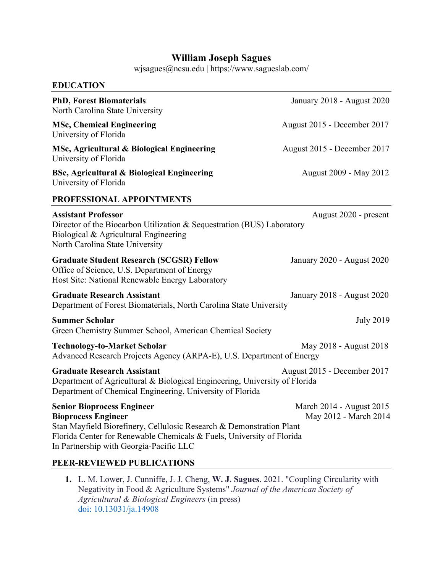# **William Joseph Sagues**

wjsagues@ncsu.edu | https://www.sagueslab.com/

| <b>EDUCATION</b>                                                                                                                                                                                                                                            |                                                   |
|-------------------------------------------------------------------------------------------------------------------------------------------------------------------------------------------------------------------------------------------------------------|---------------------------------------------------|
| <b>PhD, Forest Biomaterials</b><br>North Carolina State University                                                                                                                                                                                          | January 2018 - August 2020                        |
| <b>MSc, Chemical Engineering</b><br>University of Florida                                                                                                                                                                                                   | August 2015 - December 2017                       |
| MSc, Agricultural & Biological Engineering<br>University of Florida                                                                                                                                                                                         | August 2015 - December 2017                       |
| <b>BSc, Agricultural &amp; Biological Engineering</b><br>University of Florida                                                                                                                                                                              | August 2009 - May 2012                            |
| PROFESSIONAL APPOINTMENTS                                                                                                                                                                                                                                   |                                                   |
| <b>Assistant Professor</b><br>Director of the Biocarbon Utilization & Sequestration (BUS) Laboratory<br>Biological & Agricultural Engineering<br>North Carolina State University                                                                            | August 2020 - present                             |
| <b>Graduate Student Research (SCGSR) Fellow</b><br>Office of Science, U.S. Department of Energy<br>Host Site: National Renewable Energy Laboratory                                                                                                          | January 2020 - August 2020                        |
| <b>Graduate Research Assistant</b><br>Department of Forest Biomaterials, North Carolina State University                                                                                                                                                    | January 2018 - August 2020                        |
| <b>Summer Scholar</b><br>Green Chemistry Summer School, American Chemical Society                                                                                                                                                                           | <b>July 2019</b>                                  |
| <b>Technology-to-Market Scholar</b><br>Advanced Research Projects Agency (ARPA-E), U.S. Department of Energy                                                                                                                                                | May 2018 - August 2018                            |
| <b>Graduate Research Assistant</b><br>Department of Agricultural & Biological Engineering, University of Florida<br>Department of Chemical Engineering, University of Florida                                                                               | August 2015 - December 2017                       |
| <b>Senior Bioprocess Engineer</b><br><b>Bioprocess Engineer</b><br>Stan Mayfield Biorefinery, Cellulosic Research & Demonstration Plant<br>Florida Center for Renewable Chemicals & Fuels, University of Florida<br>In Partnership with Georgia-Pacific LLC | March 2014 - August 2015<br>May 2012 - March 2014 |
| PEER-REVIEWED PUBLICATIONS                                                                                                                                                                                                                                  |                                                   |
|                                                                                                                                                                                                                                                             |                                                   |

**1.** L. M. Lower, J. Cunniffe, J. J. Cheng, **W. J. Sagues**. 2021. "Coupling Circularity with Negativity in Food & Agriculture Systems" *Journal of the American Society of Agricultural & Biological Engineers* (in press) doi: 10.13031/ja.14908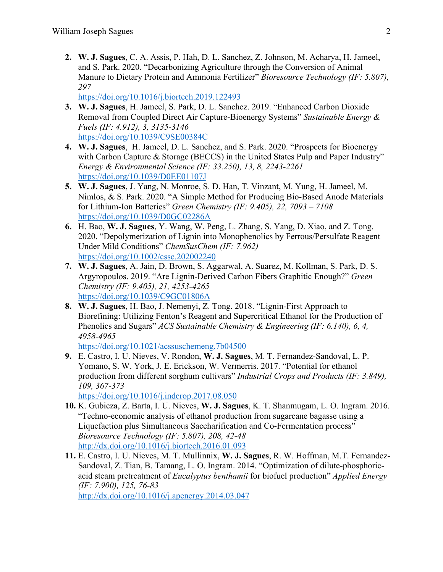**2. W. J. Sagues**, C. A. Assis, P. Hah, D. L. Sanchez, Z. Johnson, M. Acharya, H. Jameel, and S. Park. 2020. "Decarbonizing Agriculture through the Conversion of Animal Manure to Dietary Protein and Ammonia Fertilizer" *Bioresource Technology (IF: 5.807), 297*

https://doi.org/10.1016/j.biortech.2019.122493

- **3. W. J. Sagues**, H. Jameel, S. Park, D. L. Sanchez. 2019. "Enhanced Carbon Dioxide Removal from Coupled Direct Air Capture-Bioenergy Systems" *Sustainable Energy & Fuels (IF: 4.912), 3, 3135-3146* https://doi.org/10.1039/C9SE00384C
- **4. W. J. Sagues**, H. Jameel, D. L. Sanchez, and S. Park. 2020. "Prospects for Bioenergy with Carbon Capture & Storage (BECCS) in the United States Pulp and Paper Industry" *Energy & Environmental Science (IF: 33.250), 13, 8, 2243-2261*  https://doi.org/10.1039/D0EE01107J
- **5. W. J. Sagues**, J. Yang, N. Monroe, S. D. Han, T. Vinzant, M. Yung, H. Jameel, M. Nimlos, & S. Park. 2020. "A Simple Method for Producing Bio-Based Anode Materials for Lithium-Ion Batteries" *Green Chemistry (IF: 9.405), 22, 7093 – 7108* https://doi.org/10.1039/D0GC02286A
- **6.** H. Bao, **W. J. Sagues**, Y. Wang, W. Peng, L. Zhang, S. Yang, D. Xiao, and Z. Tong. 2020. "Depolymerization of Lignin into Monophenolics by Ferrous/Persulfate Reagent Under Mild Conditions" *ChemSusChem (IF: 7.962)* https://doi.org/10.1002/cssc.202002240
- **7. W. J. Sagues**, A. Jain, D. Brown, S. Aggarwal, A. Suarez, M. Kollman, S. Park, D. S. Argyropoulos. 2019. "Are Lignin-Derived Carbon Fibers Graphitic Enough?" *Green Chemistry (IF: 9.405), 21, 4253-4265* https://doi.org/10.1039/C9GC01806A
- **8. W. J. Sagues**, H. Bao, J. Nemenyi, Z. Tong. 2018. "Lignin-First Approach to Biorefining: Utilizing Fenton's Reagent and Supercritical Ethanol for the Production of Phenolics and Sugars" *ACS Sustainable Chemistry & Engineering (IF: 6.140), 6, 4, 4958-4965*

https://doi.org/10.1021/acssuschemeng.7b04500

**9.** E. Castro, I. U. Nieves, V. Rondon, **W. J. Sagues**, M. T. Fernandez-Sandoval, L. P. Yomano, S. W. York, J. E. Erickson, W. Vermerris. 2017. "Potential for ethanol production from different sorghum cultivars" *Industrial Crops and Products (IF: 3.849), 109, 367-373*

https://doi.org/10.1016/j.indcrop.2017.08.050

- **10.** K. Gubicza, Z. Barta, I. U. Nieves, **W. J. Sagues**, K. T. Shanmugam, L. O. Ingram. 2016. "Techno-economic analysis of ethanol production from sugarcane bagasse using a Liquefaction plus Simultaneous Saccharification and Co-Fermentation process" *Bioresource Technology (IF: 5.807), 208, 42-48* http://dx.doi.org/10.1016/j.biortech.2016.01.093
- **11.** E. Castro, I. U. Nieves, M. T. Mullinnix, **W. J. Sagues**, R. W. Hoffman, M.T. Fernandez-Sandoval, Z. Tian, B. Tamang, L. O. Ingram. 2014. "Optimization of dilute-phosphoricacid steam pretreatment of *Eucalyptus benthamii* for biofuel production" *Applied Energy (IF: 7.900), 125, 76-83*

http://dx.doi.org/10.1016/j.apenergy.2014.03.047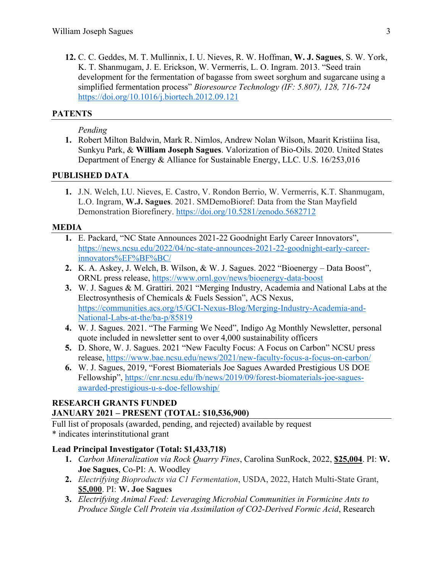**12.** C. C. Geddes, M. T. Mullinnix, I. U. Nieves, R. W. Hoffman, **W. J. Sagues**, S. W. York, K. T. Shanmugam, J. E. Erickson, W. Vermerris, L. O. Ingram. 2013. "Seed train development for the fermentation of bagasse from sweet sorghum and sugarcane using a simplified fermentation process" *Bioresource Technology (IF: 5.807), 128, 716-724* https://doi.org/10.1016/j.biortech.2012.09.121

# **PATENTS**

# *Pending*

**1.** Robert Milton Baldwin, Mark R. Nimlos, Andrew Nolan Wilson, Maarit Kristiina Iisa, Sunkyu Park, & **William Joseph Sagues**. Valorization of Bio-Oils. 2020. United States Department of Energy & Alliance for Sustainable Energy, LLC. U.S. 16/253,016

# **PUBLISHED DATA**

**1.** J.N. Welch, I.U. Nieves, E. Castro, V. Rondon Berrio, W. Vermerris, K.T. Shanmugam, L.O. Ingram, **W.J. Sagues**. 2021. SMDemoBioref: Data from the Stan Mayfield Demonstration Biorefinery. https://doi.org/10.5281/zenodo.5682712

# **MEDIA**

- **1.** E. Packard, "NC State Announces 2021-22 Goodnight Early Career Innovators", https://news.ncsu.edu/2022/04/nc-state-announces-2021-22-goodnight-early-careerinnovators%EF%BF%BC/
- **2.** K. A. Askey, J. Welch, B. Wilson, & W. J. Sagues. 2022 "Bioenergy Data Boost", ORNL press release, https://www.ornl.gov/news/bioenergy-data-boost
- **3.** W. J. Sagues & M. Grattiri. 2021 "Merging Industry, Academia and National Labs at the Electrosynthesis of Chemicals & Fuels Session", ACS Nexus, https://communities.acs.org/t5/GCI-Nexus-Blog/Merging-Industry-Academia-and-National-Labs-at-the/ba-p/85819
- **4.** W. J. Sagues. 2021. "The Farming We Need", Indigo Ag Monthly Newsletter, personal quote included in newsletter sent to over 4,000 sustainability officers
- **5.** D. Shore, W. J. Sagues. 2021 "New Faculty Focus: A Focus on Carbon" NCSU press release, https://www.bae.ncsu.edu/news/2021/new-faculty-focus-a-focus-on-carbon/
- **6.** W. J. Sagues, 2019, "Forest Biomaterials Joe Sagues Awarded Prestigious US DOE Fellowship", https://cnr.ncsu.edu/fb/news/2019/09/forest-biomaterials-joe-saguesawarded-prestigious-u-s-doe-fellowship/

# **RESEARCH GRANTS FUNDED JANUARY 2021 – PRESENT (TOTAL: \$10,536,900)**

Full list of proposals (awarded, pending, and rejected) available by request \* indicates interinstitutional grant

# **Lead Principal Investigator (Total: \$1,433,718)**

- **1.** *Carbon Mineralization via Rock Quarry Fines*, Carolina SunRock, 2022, **\$25,004**. PI: **W. Joe Sagues**, Co-PI: A. Woodley
- **2.** *Electrifying Bioproducts via C1 Fermentation*, USDA, 2022, Hatch Multi-State Grant, **\$5,000**. PI: **W. Joe Sagues**
- **3.** *Electrifying Animal Feed: Leveraging Microbial Communities in Formicine Ants to Produce Single Cell Protein via Assimilation of CO2-Derived Formic Acid*, Research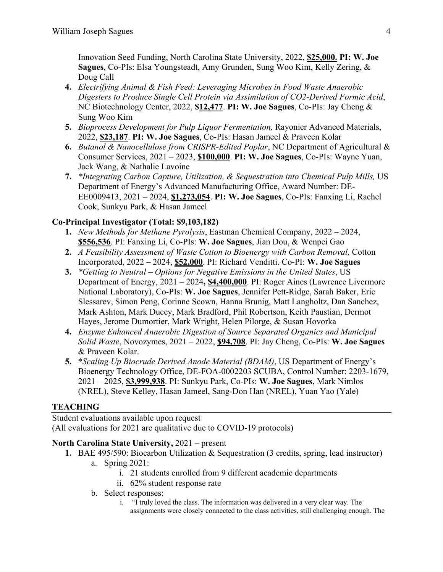Innovation Seed Funding, North Carolina State University, 2022, **\$25,000. PI: W. Joe Sagues**, Co-PIs: Elsa Youngsteadt, Amy Grunden, Sung Woo Kim, Kelly Zering, & Doug Call

- **4.** *Electrifying Animal & Fish Feed: Leveraging Microbes in Food Waste Anaerobic Digesters to Produce Single Cell Protein via Assimilation of CO2-Derived Formic Acid*, NC Biotechnology Center, 2022, **\$12,477**. **PI: W. Joe Sagues**, Co-PIs: Jay Cheng & Sung Woo Kim
- **5.** *Bioprocess Development for Pulp Liquor Fermentation,* Rayonier Advanced Materials, 2022, **\$23,187**. **PI: W. Joe Sagues**, Co-PIs: Hasan Jameel & Praveen Kolar
- **6.** *Butanol & Nanocellulose from CRISPR-Edited Poplar*, NC Department of Agricultural & Consumer Services, 2021 – 2023, **\$100,000**. **PI: W. Joe Sagues**, Co-PIs: Wayne Yuan, Jack Wang, & Nathalie Lavoine
- **7.** *\*Integrating Carbon Capture, Utilization, & Sequestration into Chemical Pulp Mills,* US Department of Energy's Advanced Manufacturing Office, Award Number: DE-EE0009413, 2021 – 2024, **\$1,273,054**. **PI: W. Joe Sagues**, Co-PIs: Fanxing Li, Rachel Cook, Sunkyu Park, & Hasan Jameel

# **Co-Principal Investigator (Total: \$9,103,182)**

- **1.** *New Methods for Methane Pyrolysis*, Eastman Chemical Company, 2022 2024, **\$556,536**. PI: Fanxing Li, Co-PIs: **W. Joe Sagues**, Jian Dou, & Wenpei Gao
- **2.** *A Feasibility Assessment of Waste Cotton to Bioenergy with Carbon Removal,* Cotton Incorporated, 2022 – 2024, **\$52,000**. PI: Richard Venditti. Co-PI: **W. Joe Sagues**
- **3.** *\*Getting to Neutral – Options for Negative Emissions in the United States*, US Department of Energy, 2021 – 2024**, \$4,400,000**. PI: Roger Aines (Lawrence Livermore National Laboratory), Co-PIs: **W. Joe Sagues**, Jennifer Pett-Ridge, Sarah Baker, Eric Slessarev, Simon Peng, Corinne Scown, Hanna Brunig, Matt Langholtz, Dan Sanchez, Mark Ashton, Mark Ducey, Mark Bradford, Phil Robertson, Keith Paustian, Dermot Hayes, Jerome Dumortier, Mark Wright, Helen Pilorge, & Susan Hovorka
- **4.** *Enzyme Enhanced Anaerobic Digestion of Source Separated Organics and Municipal Solid Waste*, Novozymes, 2021 – 2022, **\$94,708**. PI: Jay Cheng, Co-PIs: **W. Joe Sagues** & Praveen Kolar.
- **5.** \**Scaling Up Biocrude Derived Anode Material (BDAM)*, US Department of Energy's Bioenergy Technology Office, DE-FOA-0002203 SCUBA, Control Number: 2203-1679, 2021 – 2025, **\$3,999,938**. PI: Sunkyu Park, Co-PIs: **W. Joe Sagues**, Mark Nimlos (NREL), Steve Kelley, Hasan Jameel, Sang-Don Han (NREL), Yuan Yao (Yale)

# **TEACHING**

Student evaluations available upon request (All evaluations for 2021 are qualitative due to COVID-19 protocols)

# **North Carolina State University,** 2021 – present

- **1.** BAE 495/590: Biocarbon Utilization & Sequestration (3 credits, spring, lead instructor)
	- a. Spring 2021:
		- i. 21 students enrolled from 9 different academic departments
		- ii. 62% student response rate
	- b. Select responses:
		- i. "I truly loved the class. The information was delivered in a very clear way. The assignments were closely connected to the class activities, still challenging enough. The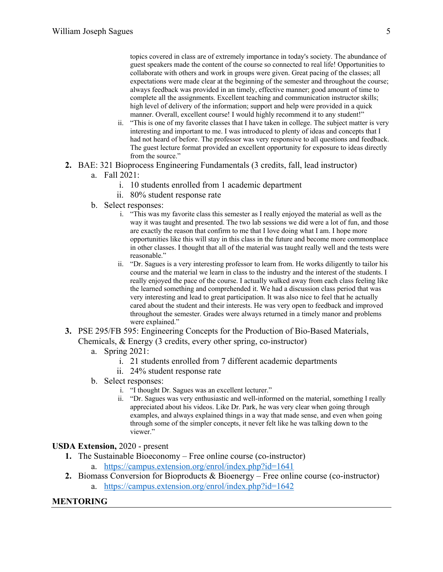topics covered in class are of extremely importance in today's society. The abundance of guest speakers made the content of the course so connected to real life! Opportunities to collaborate with others and work in groups were given. Great pacing of the classes; all expectations were made clear at the beginning of the semester and throughout the course; always feedback was provided in an timely, effective manner; good amount of time to complete all the assignments. Excellent teaching and communication instructor skills; high level of delivery of the information; support and help were provided in a quick manner. Overall, excellent course! I would highly recommend it to any student!"

- ii. "This is one of my favorite classes that I have taken in college. The subject matter is very interesting and important to me. I was introduced to plenty of ideas and concepts that I had not heard of before. The professor was very responsive to all questions and feedback. The guest lecture format provided an excellent opportunity for exposure to ideas directly from the source."
- **2.** BAE: 321 Bioprocess Engineering Fundamentals (3 credits, fall, lead instructor)
	- a. Fall 2021:
		- i. 10 students enrolled from 1 academic department
		- ii. 80% student response rate
	- b. Select responses:
		- i. "This was my favorite class this semester as I really enjoyed the material as well as the way it was taught and presented. The two lab sessions we did were a lot of fun, and those are exactly the reason that confirm to me that I love doing what I am. I hope more opportunities like this will stay in this class in the future and become more commonplace in other classes. I thought that all of the material was taught really well and the tests were reasonable."
		- ii. "Dr. Sagues is a very interesting professor to learn from. He works diligently to tailor his course and the material we learn in class to the industry and the interest of the students. I really enjoyed the pace of the course. I actually walked away from each class feeling like the learned something and comprehended it. We had a discussion class period that was very interesting and lead to great participation. It was also nice to feel that he actually cared about the student and their interests. He was very open to feedback and improved throughout the semester. Grades were always returned in a timely manor and problems were explained."
- **3.** PSE 295/FB 595: Engineering Concepts for the Production of Bio-Based Materials, Chemicals, & Energy (3 credits, every other spring, co-instructor)
	- a. Spring 2021:
		- i. 21 students enrolled from 7 different academic departments
		- ii. 24% student response rate
	- b. Select responses:
		- i. "I thought Dr. Sagues was an excellent lecturer."
		- ii. "Dr. Sagues was very enthusiastic and well-informed on the material, something I really appreciated about his videos. Like Dr. Park, he was very clear when going through examples, and always explained things in a way that made sense, and even when going through some of the simpler concepts, it never felt like he was talking down to the viewer."

#### **USDA Extension,** 2020 - present

- **1.** The Sustainable Bioeconomy Free online course (co-instructor)
	- a. https://campus.extension.org/enrol/index.php?id=1641
- **2.** Biomass Conversion for Bioproducts & Bioenergy Free online course (co-instructor)
	- a. https://campus.extension.org/enrol/index.php?id=1642

#### **MENTORING**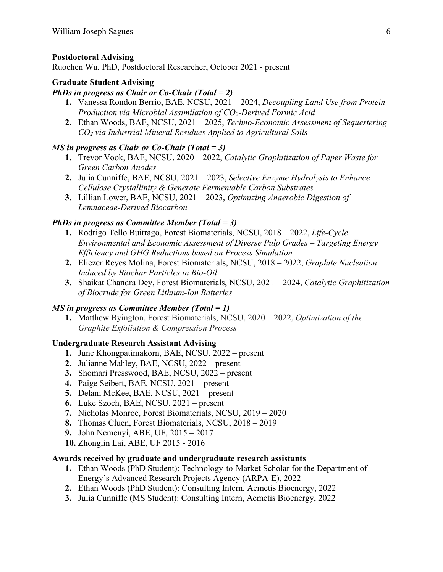### **Postdoctoral Advising**

Ruochen Wu, PhD, Postdoctoral Researcher, October 2021 - present

#### **Graduate Student Advising**

#### *PhDs in progress as Chair or Co-Chair (Total = 2)*

- **1.** Vanessa Rondon Berrio, BAE, NCSU, 2021 2024, *Decoupling Land Use from Protein Production via Microbial Assimilation of CO2-Derived Formic Acid*
- **2.** Ethan Woods, BAE, NCSU, 2021 2025, *Techno-Economic Assessment of Sequestering CO2 via Industrial Mineral Residues Applied to Agricultural Soils*

#### *MS in progress as Chair or Co-Chair (Total = 3)*

- **1.** Trevor Vook, BAE, NCSU, 2020 2022, *Catalytic Graphitization of Paper Waste for Green Carbon Anodes*
- **2.** Julia Cunniffe, BAE, NCSU, 2021 2023, *Selective Enzyme Hydrolysis to Enhance Cellulose Crystallinity & Generate Fermentable Carbon Substrates*
- **3.** Lillian Lower, BAE, NCSU, 2021 2023, *Optimizing Anaerobic Digestion of Lemnaceae-Derived Biocarbon*

#### *PhDs in progress as Committee Member (Total = 3)*

- **1.** Rodrigo Tello Buitrago, Forest Biomaterials, NCSU, 2018 2022, *Life-Cycle Environmental and Economic Assessment of Diverse Pulp Grades – Targeting Energy Efficiency and GHG Reductions based on Process Simulation*
- **2.** Eliezer Reyes Molina, Forest Biomaterials, NCSU, 2018 2022, *Graphite Nucleation Induced by Biochar Particles in Bio-Oil*
- **3.** Shaikat Chandra Dey, Forest Biomaterials, NCSU, 2021 2024, *Catalytic Graphitization of Biocrude for Green Lithium-Ion Batteries*

#### *MS in progress as Committee Member (Total = 1)*

**1.** Matthew Byington, Forest Biomaterials, NCSU, 2020 – 2022, *Optimization of the Graphite Exfoliation & Compression Process*

#### **Undergraduate Research Assistant Advising**

- **1.** June Khongpatimakorn, BAE, NCSU, 2022 present
- **2.** Julianne Mahley, BAE, NCSU, 2022 present
- **3.** Shomari Presswood, BAE, NCSU, 2022 present
- **4.** Paige Seibert, BAE, NCSU, 2021 present
- **5.** Delani McKee, BAE, NCSU, 2021 present
- **6.** Luke Szoch, BAE, NCSU, 2021 present
- **7.** Nicholas Monroe, Forest Biomaterials, NCSU, 2019 2020
- **8.** Thomas Cluen, Forest Biomaterials, NCSU, 2018 2019
- **9.** John Nemenyi, ABE, UF, 2015 2017
- **10.** Zhonglin Lai, ABE, UF 2015 2016

#### **Awards received by graduate and undergraduate research assistants**

- **1.** Ethan Woods (PhD Student): Technology-to-Market Scholar for the Department of Energy's Advanced Research Projects Agency (ARPA-E), 2022
- **2.** Ethan Woods (PhD Student): Consulting Intern, Aemetis Bioenergy, 2022
- **3.** Julia Cunniffe (MS Student): Consulting Intern, Aemetis Bioenergy, 2022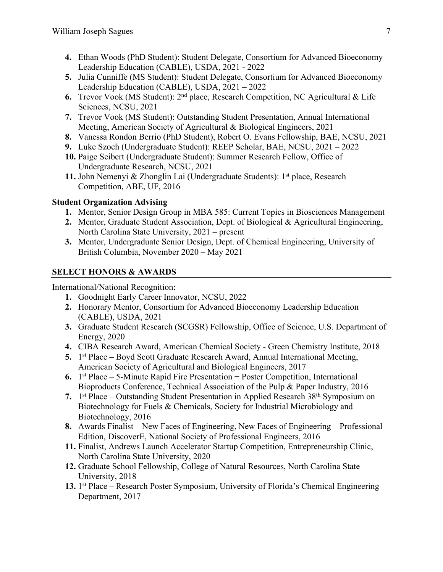- **4.** Ethan Woods (PhD Student): Student Delegate, Consortium for Advanced Bioeconomy Leadership Education (CABLE), USDA, 2021 - 2022
- **5.** Julia Cunniffe (MS Student): Student Delegate, Consortium for Advanced Bioeconomy Leadership Education (CABLE), USDA, 2021 – 2022
- **6.** Trevor Vook (MS Student): 2nd place, Research Competition, NC Agricultural & Life Sciences, NCSU, 2021
- **7.** Trevor Vook (MS Student): Outstanding Student Presentation, Annual International Meeting, American Society of Agricultural & Biological Engineers, 2021
- **8.** Vanessa Rondon Berrio (PhD Student), Robert O. Evans Fellowship, BAE, NCSU, 2021
- **9.** Luke Szoch (Undergraduate Student): REEP Scholar, BAE, NCSU, 2021 2022
- **10.** Paige Seibert (Undergraduate Student): Summer Research Fellow, Office of Undergraduate Research, NCSU, 2021
- **11.** John Nemenyi & Zhonglin Lai (Undergraduate Students): 1<sup>st</sup> place, Research Competition, ABE, UF, 2016

### **Student Organization Advising**

- **1.** Mentor, Senior Design Group in MBA 585: Current Topics in Biosciences Management
- **2.** Mentor, Graduate Student Association, Dept. of Biological & Agricultural Engineering, North Carolina State University, 2021 – present
- **3.** Mentor, Undergraduate Senior Design, Dept. of Chemical Engineering, University of British Columbia, November 2020 – May 2021

# **SELECT HONORS & AWARDS**

International/National Recognition:

- **1.** Goodnight Early Career Innovator, NCSU, 2022
- **2.** Honorary Mentor, Consortium for Advanced Bioeconomy Leadership Education (CABLE), USDA, 2021
- **3.** Graduate Student Research (SCGSR) Fellowship, Office of Science, U.S. Department of Energy, 2020
- **4.** CIBA Research Award, American Chemical Society Green Chemistry Institute, 2018
- **5.** 1<sup>st</sup> Place Boyd Scott Graduate Research Award, Annual International Meeting, American Society of Agricultural and Biological Engineers, 2017
- **6.** 1st Place 5-Minute Rapid Fire Presentation + Poster Competition, International Bioproducts Conference, Technical Association of the Pulp & Paper Industry, 2016
- **7.** 1<sup>st</sup> Place Outstanding Student Presentation in Applied Research 38<sup>th</sup> Symposium on Biotechnology for Fuels & Chemicals, Society for Industrial Microbiology and Biotechnology, 2016
- **8.** Awards Finalist New Faces of Engineering, New Faces of Engineering Professional Edition, DiscoverE, National Society of Professional Engineers, 2016
- **11.** Finalist, Andrews Launch Accelerator Startup Competition, Entrepreneurship Clinic, North Carolina State University, 2020
- **12.** Graduate School Fellowship, College of Natural Resources, North Carolina State University, 2018
- **13.** 1<sup>st</sup> Place Research Poster Symposium, University of Florida's Chemical Engineering Department, 2017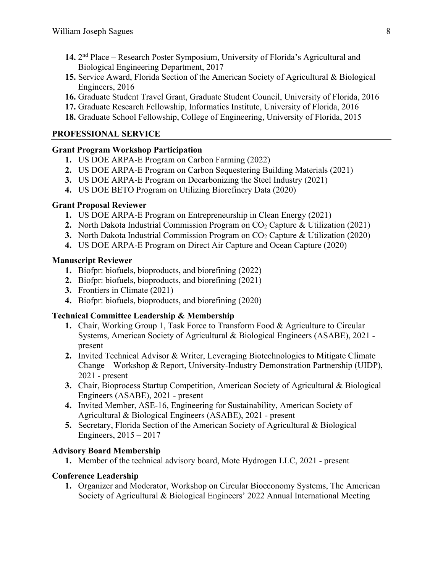- **14.** 2nd Place Research Poster Symposium, University of Florida's Agricultural and Biological Engineering Department, 2017
- **15.** Service Award, Florida Section of the American Society of Agricultural & Biological Engineers, 2016
- **16.** Graduate Student Travel Grant, Graduate Student Council, University of Florida, 2016
- **17.** Graduate Research Fellowship, Informatics Institute, University of Florida, 2016
- **18.** Graduate School Fellowship, College of Engineering, University of Florida, 2015

### **PROFESSIONAL SERVICE**

### **Grant Program Workshop Participation**

- **1.** US DOE ARPA-E Program on Carbon Farming (2022)
- **2.** US DOE ARPA-E Program on Carbon Sequestering Building Materials (2021)
- **3.** US DOE ARPA-E Program on Decarbonizing the Steel Industry (2021)
- **4.** US DOE BETO Program on Utilizing Biorefinery Data (2020)

### **Grant Proposal Reviewer**

- **1.** US DOE ARPA-E Program on Entrepreneurship in Clean Energy (2021)
- **2.** North Dakota Industrial Commission Program on CO2 Capture & Utilization (2021)
- **3.** North Dakota Industrial Commission Program on CO<sub>2</sub> Capture & Utilization (2020)
- **4.** US DOE ARPA-E Program on Direct Air Capture and Ocean Capture (2020)

### **Manuscript Reviewer**

- **1.** Biofpr: biofuels, bioproducts, and biorefining (2022)
- **2.** Biofpr: biofuels, bioproducts, and biorefining (2021)
- **3.** Frontiers in Climate (2021)
- **4.** Biofpr: biofuels, bioproducts, and biorefining (2020)

# **Technical Committee Leadership & Membership**

- **1.** Chair, Working Group 1, Task Force to Transform Food & Agriculture to Circular Systems, American Society of Agricultural & Biological Engineers (ASABE), 2021 present
- **2.** Invited Technical Advisor & Writer, Leveraging Biotechnologies to Mitigate Climate Change – Workshop & Report, University-Industry Demonstration Partnership (UIDP), 2021 - present
- **3.** Chair, Bioprocess Startup Competition, American Society of Agricultural & Biological Engineers (ASABE), 2021 - present
- **4.** Invited Member, ASE-16, Engineering for Sustainability, American Society of Agricultural & Biological Engineers (ASABE), 2021 - present
- **5.** Secretary, Florida Section of the American Society of Agricultural & Biological Engineers, 2015 – 2017

# **Advisory Board Membership**

**1.** Member of the technical advisory board, Mote Hydrogen LLC, 2021 - present

# **Conference Leadership**

**1.** Organizer and Moderator, Workshop on Circular Bioeconomy Systems, The American Society of Agricultural & Biological Engineers' 2022 Annual International Meeting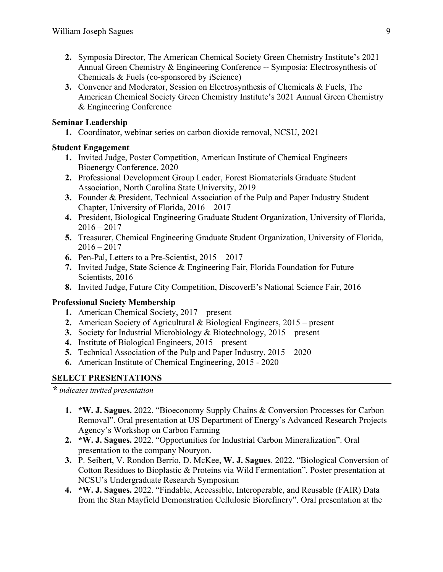- **2.** Symposia Director, The American Chemical Society Green Chemistry Institute's 2021 Annual Green Chemistry & Engineering Conference -- Symposia: Electrosynthesis of Chemicals & Fuels (co-sponsored by iScience)
- **3.** Convener and Moderator, Session on Electrosynthesis of Chemicals & Fuels, The American Chemical Society Green Chemistry Institute's 2021 Annual Green Chemistry & Engineering Conference

### **Seminar Leadership**

**1.** Coordinator, webinar series on carbon dioxide removal, NCSU, 2021

### **Student Engagement**

- **1.** Invited Judge, Poster Competition, American Institute of Chemical Engineers Bioenergy Conference, 2020
- **2.** Professional Development Group Leader, Forest Biomaterials Graduate Student Association, North Carolina State University, 2019
- **3.** Founder & President, Technical Association of the Pulp and Paper Industry Student Chapter, University of Florida, 2016 – 2017
- **4.** President, Biological Engineering Graduate Student Organization, University of Florida,  $2016 - 2017$
- **5.** Treasurer, Chemical Engineering Graduate Student Organization, University of Florida,  $2016 - 2017$
- **6.** Pen-Pal, Letters to a Pre-Scientist, 2015 2017
- **7.** Invited Judge, State Science & Engineering Fair, Florida Foundation for Future Scientists, 2016
- **8.** Invited Judge, Future City Competition, DiscoverE's National Science Fair, 2016

### **Professional Society Membership**

- **1.** American Chemical Society, 2017 present
- **2.** American Society of Agricultural & Biological Engineers, 2015 present
- **3.** Society for Industrial Microbiology & Biotechnology, 2015 present
- **4.** Institute of Biological Engineers, 2015 present
- **5.** Technical Association of the Pulp and Paper Industry, 2015 2020
- **6.** American Institute of Chemical Engineering, 2015 2020

# **SELECT PRESENTATIONS**

*\* indicates invited presentation*

- **1. \*W. J. Sagues.** 2022. "Bioeconomy Supply Chains & Conversion Processes for Carbon Removal". Oral presentation at US Department of Energy's Advanced Research Projects Agency's Workshop on Carbon Farming
- **2. \*W. J. Sagues.** 2022. "Opportunities for Industrial Carbon Mineralization". Oral presentation to the company Nouryon.
- **3.** P. Seibert, V. Rondon Berrio, D. McKee, **W. J. Sagues**. 2022. "Biological Conversion of Cotton Residues to Bioplastic & Proteins via Wild Fermentation". Poster presentation at NCSU's Undergraduate Research Symposium
- **4. \*W. J. Sagues.** 2022. "Findable, Accessible, Interoperable, and Reusable (FAIR) Data from the Stan Mayfield Demonstration Cellulosic Biorefinery". Oral presentation at the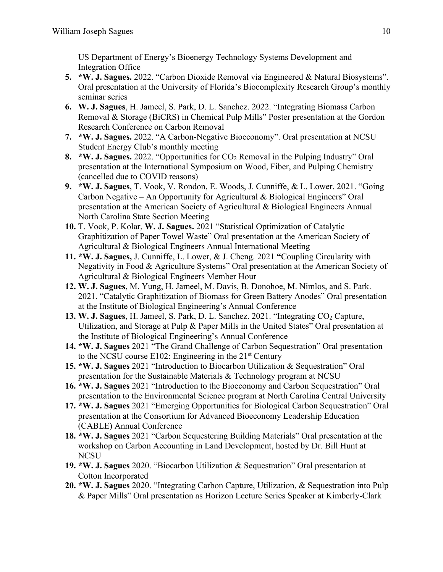US Department of Energy's Bioenergy Technology Systems Development and Integration Office

- **5. \*W. J. Sagues.** 2022. "Carbon Dioxide Removal via Engineered & Natural Biosystems". Oral presentation at the University of Florida's Biocomplexity Research Group's monthly seminar series
- **6. W. J. Sagues**, H. Jameel, S. Park, D. L. Sanchez. 2022. "Integrating Biomass Carbon Removal & Storage (BiCRS) in Chemical Pulp Mills" Poster presentation at the Gordon Research Conference on Carbon Removal
- **7. \*W. J. Sagues.** 2022. "A Carbon-Negative Bioeconomy". Oral presentation at NCSU Student Energy Club's monthly meeting
- **8. \*W. J. Sagues.** 2022. "Opportunities for CO<sub>2</sub> Removal in the Pulping Industry" Oral presentation at the International Symposium on Wood, Fiber, and Pulping Chemistry (cancelled due to COVID reasons)
- **9. \*W. J. Sagues**, T. Vook, V. Rondon, E. Woods, J. Cunniffe, & L. Lower. 2021. "Going Carbon Negative – An Opportunity for Agricultural & Biological Engineers" Oral presentation at the American Society of Agricultural & Biological Engineers Annual North Carolina State Section Meeting
- **10.** T. Vook, P. Kolar, **W. J. Sagues.** 2021 "Statistical Optimization of Catalytic Graphitization of Paper Towel Waste" Oral presentation at the American Society of Agricultural & Biological Engineers Annual International Meeting
- **11. \*W. J. Sagues,** J. Cunniffe, L. Lower, & J. Cheng. 2021 **"**Coupling Circularity with Negativity in Food & Agriculture Systems" Oral presentation at the American Society of Agricultural & Biological Engineers Member Hour
- **12. W. J. Sagues**, M. Yung, H. Jameel, M. Davis, B. Donohoe, M. Nimlos, and S. Park. 2021. "Catalytic Graphitization of Biomass for Green Battery Anodes" Oral presentation at the Institute of Biological Engineering's Annual Conference
- 13. W. J. Sagues, H. Jameel, S. Park, D. L. Sanchez. 2021. "Integrating CO<sub>2</sub> Capture, Utilization, and Storage at Pulp & Paper Mills in the United States" Oral presentation at the Institute of Biological Engineering's Annual Conference
- **14. \*W. J. Sagues** 2021 "The Grand Challenge of Carbon Sequestration" Oral presentation to the NCSU course E102: Engineering in the 21st Century
- **15. \*W. J. Sagues** 2021 "Introduction to Biocarbon Utilization & Sequestration" Oral presentation for the Sustainable Materials & Technology program at NCSU
- **16. \*W. J. Sagues** 2021 "Introduction to the Bioeconomy and Carbon Sequestration" Oral presentation to the Environmental Science program at North Carolina Central University
- **17. \*W. J. Sagues** 2021 "Emerging Opportunities for Biological Carbon Sequestration" Oral presentation at the Consortium for Advanced Bioeconomy Leadership Education (CABLE) Annual Conference
- **18. \*W. J. Sagues** 2021 "Carbon Sequestering Building Materials" Oral presentation at the workshop on Carbon Accounting in Land Development, hosted by Dr. Bill Hunt at NCSU
- **19. \*W. J. Sagues** 2020. "Biocarbon Utilization & Sequestration" Oral presentation at Cotton Incorporated
- **20. \*W. J. Sagues** 2020. "Integrating Carbon Capture, Utilization, & Sequestration into Pulp & Paper Mills" Oral presentation as Horizon Lecture Series Speaker at Kimberly-Clark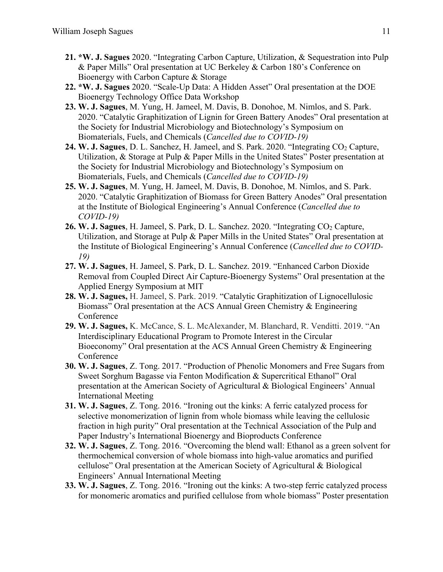- **21. \*W. J. Sagues** 2020. "Integrating Carbon Capture, Utilization, & Sequestration into Pulp & Paper Mills" Oral presentation at UC Berkeley & Carbon 180's Conference on Bioenergy with Carbon Capture & Storage
- **22. \*W. J. Sagues** 2020. "Scale-Up Data: A Hidden Asset" Oral presentation at the DOE Bioenergy Technology Office Data Workshop
- **23. W. J. Sagues**, M. Yung, H. Jameel, M. Davis, B. Donohoe, M. Nimlos, and S. Park. 2020. "Catalytic Graphitization of Lignin for Green Battery Anodes" Oral presentation at the Society for Industrial Microbiology and Biotechnology's Symposium on Biomaterials, Fuels, and Chemicals (*Cancelled due to COVID-19)*
- 24. W. J. Sagues, D. L. Sanchez, H. Jameel, and S. Park. 2020. "Integrating CO<sub>2</sub> Capture, Utilization, & Storage at Pulp & Paper Mills in the United States" Poster presentation at the Society for Industrial Microbiology and Biotechnology's Symposium on Biomaterials, Fuels, and Chemicals (*Cancelled due to COVID-19)*
- **25. W. J. Sagues**, M. Yung, H. Jameel, M. Davis, B. Donohoe, M. Nimlos, and S. Park. 2020. "Catalytic Graphitization of Biomass for Green Battery Anodes" Oral presentation at the Institute of Biological Engineering's Annual Conference (*Cancelled due to COVID-19)*
- 26. W. J. Sagues, H. Jameel, S. Park, D. L. Sanchez. 2020. "Integrating CO<sub>2</sub> Capture, Utilization, and Storage at Pulp & Paper Mills in the United States" Oral presentation at the Institute of Biological Engineering's Annual Conference (*Cancelled due to COVID-19)*
- **27. W. J. Sagues**, H. Jameel, S. Park, D. L. Sanchez. 2019. "Enhanced Carbon Dioxide Removal from Coupled Direct Air Capture-Bioenergy Systems" Oral presentation at the Applied Energy Symposium at MIT
- **28. W. J. Sagues,** H. Jameel, S. Park. 2019. "Catalytic Graphitization of Lignocellulosic Biomass" Oral presentation at the ACS Annual Green Chemistry & Engineering Conference
- **29. W. J. Sagues,** K. McCance, S. L. McAlexander, M. Blanchard, R. Venditti. 2019. "An Interdisciplinary Educational Program to Promote Interest in the Circular Bioeconomy" Oral presentation at the ACS Annual Green Chemistry & Engineering Conference
- **30. W. J. Sagues**, Z. Tong. 2017. "Production of Phenolic Monomers and Free Sugars from Sweet Sorghum Bagasse via Fenton Modification & Supercritical Ethanol" Oral presentation at the American Society of Agricultural & Biological Engineers' Annual International Meeting
- **31. W. J. Sagues**, Z. Tong. 2016. "Ironing out the kinks: A ferric catalyzed process for selective monomerization of lignin from whole biomass while leaving the cellulosic fraction in high purity" Oral presentation at the Technical Association of the Pulp and Paper Industry's International Bioenergy and Bioproducts Conference
- **32. W. J. Sagues**, Z. Tong. 2016. "Overcoming the blend wall: Ethanol as a green solvent for thermochemical conversion of whole biomass into high-value aromatics and purified cellulose" Oral presentation at the American Society of Agricultural & Biological Engineers' Annual International Meeting
- **33. W. J. Sagues**, Z. Tong. 2016. "Ironing out the kinks: A two-step ferric catalyzed process for monomeric aromatics and purified cellulose from whole biomass" Poster presentation